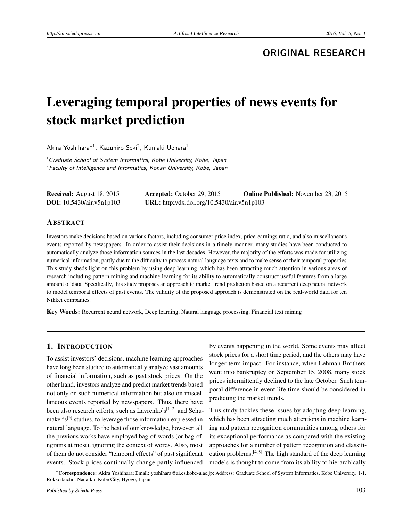**ORIGINAL RESEARCH**

# Leveraging temporal properties of news events for stock market prediction

Akira Yoshihara\*<sup>1</sup>, Kazuhiro Seki<sup>2</sup>, Kuniaki Uehara<sup>1</sup>

 $1$ Graduate School of System Informatics, Kobe University, Kobe, Japan  $2$ Faculty of Intelligence and Informatics, Konan University, Kobe, Japan

| <b>Received:</b> August 18, 2015   | <b>Accepted:</b> October 29, 2015           | <b>Online Published:</b> November 23, 2015 |
|------------------------------------|---------------------------------------------|--------------------------------------------|
| <b>DOI:</b> $10.5430/air.v5n1p103$ | URL: http://dx.doi.org/10.5430/air.v5n1p103 |                                            |

#### ABSTRACT

Investors make decisions based on various factors, including consumer price index, price-earnings ratio, and also miscellaneous events reported by newspapers. In order to assist their decisions in a timely manner, many studies have been conducted to automatically analyze those information sources in the last decades. However, the majority of the efforts was made for utilizing numerical information, partly due to the difficulty to process natural language texts and to make sense of their temporal properties. This study sheds light on this problem by using deep learning, which has been attracting much attention in various areas of research including pattern mining and machine learning for its ability to automatically construct useful features from a large amount of data. Specifically, this study proposes an approach to market trend prediction based on a recurrent deep neural network to model temporal effects of past events. The validity of the proposed approach is demonstrated on the real-world data for ten Nikkei companies.

Key Words: Recurrent neural network, Deep learning, Natural language processing, Financial text mining

#### 1. INTRODUCTION

To assist investors' decisions, machine learning approaches have long been studied to automatically analyze vast amounts of financial information, such as past stock prices. On the other hand, investors analyze and predict market trends based not only on such numerical information but also on miscellaneous events reported by newspapers. Thus, there have been also research efforts, such as Lavrenko's<sup>[\[1,](#page-7-0)[2\]](#page-7-1)</sup> and Schu-maker's<sup>[\[3\]](#page-7-2)</sup> studies, to leverage those information expressed in natural language. To the best of our knowledge, however, all the previous works have employed bag-of-words (or bag-ofngrams at most), ignoring the context of words. Also, most of them do not consider "temporal effects" of past significant events. Stock prices continually change partly influenced

by events happening in the world. Some events may affect stock prices for a short time period, and the others may have longer-term impact. For instance, when Lehman Brothers went into bankruptcy on September 15, 2008, many stock prices intermittently declined to the late October. Such temporal difference in event life time should be considered in predicting the market trends.

This study tackles these issues by adopting deep learning, which has been attracting much attentions in machine learning and pattern recognition communities among others for its exceptional performance as compared with the existing approaches for a number of pattern recognition and classification problems. $[4, 5]$  $[4, 5]$  $[4, 5]$  The high standard of the deep learning models is thought to come from its ability to hierarchically

<sup>∗</sup>Correspondence: Akira Yoshihara; Email: yoshihara@ai.cs.kobe-u.ac.jp; Address: Graduate School of System Informatics, Kobe University, 1-1, Rokkodaicho, Nada-ku, Kobe City, Hyogo, Japan.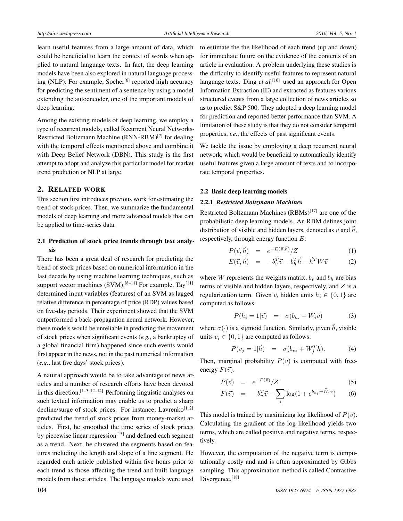learn useful features from a large amount of data, which could be beneficial to learn the context of words when applied to natural language texts. In fact, the deep learning models have been also explored in natural language process-ing (NLP). For example, Socher<sup>[\[6\]](#page-7-5)</sup> reported high accuracy for predicting the sentiment of a sentence by using a model extending the autoencoder, one of the important models of deep learning.

Among the existing models of deep learning, we employ a type of recurrent models, called Recurrent Neural Networks-Restricted Boltzmann Machine (RNN-RBM)<sup>[\[7\]](#page-7-6)</sup> for dealing with the temporal effects mentioned above and combine it with Deep Belief Network (DBN). This study is the first attempt to adopt and analyze this particular model for market trend prediction or NLP at large.

# <span id="page-1-0"></span>2. RELATED WORK

This section first introduces previous work for estimating the trend of stock prices. Then, we summarize the fundamental models of deep learning and more advanced models that can be applied to time-series data.

# 2.1 Prediction of stock price trends through text analysis

There has been a great deal of research for predicting the trend of stock prices based on numerical information in the last decade by using machine learning techniques, such as support vector machines (SVM).<sup>[\[8](#page-7-7)[–11\]](#page-7-8)</sup> For example, Tay<sup>[\[11\]](#page-7-8)</sup> determined input variables (features) of an SVM as lagged relative difference in percentage of price (RDP) values based on five-day periods. Their experiment showed that the SVM outperformed a back-propagation neural network. However, these models would be unreliable in predicting the movement of stock prices when significant events (*e.g.*, a bankruptcy of a global financial firm) happened since such events would first appear in the news, not in the past numerical information (*e.g.*, last five days' stock prices).

A natural approach would be to take advantage of news articles and a number of research efforts have been devoted in this direction.<sup>[\[1–](#page-7-0)[3,](#page-7-2) [12–](#page-7-9)[14\]](#page-7-10)</sup> Performing linguistic analyses on such textual information may enable us to predict a sharp decline/surge of stock prices. For instance, Lavrenko<sup>[\[1,](#page-7-0)[2\]](#page-7-1)</sup> predicted the trend of stock prices from money-market articles. First, he smoothed the time series of stock prices by piecewise linear regression<sup>[\[15\]](#page-7-11)</sup> and defined each segment as a trend. Next, he clustered the segments based on features including the length and slope of a line segment. He regarded each article published within five hours prior to each trend as those affecting the trend and built language models from those articles. The language models were used

to estimate the the likelihood of each trend (up and down) for immediate future on the evidence of the contents of an article in evaluation. A problem underlying these studies is the difficulty to identify useful features to represent natural language texts. Ding *et al.*<sup>[\[16\]](#page-7-12)</sup> used an approach for Open Information Extraction (IE) and extracted as features various structured events from a large collection of news articles so as to predict S&P 500. They adopted a deep learning model for prediction and reported better performance than SVM. A limitation of these study is that they do not consider temporal properties, *i.e.*, the effects of past significant events.

We tackle the issue by employing a deep recurrent neural network, which would be beneficial to automatically identify useful features given a large amount of texts and to incorporate temporal properties.

#### 2.2 Basic deep learning models

#### 2.2.1 *Restricted Boltzmann Machines*

Restricted Boltzmann Machines (RBMs)<sup>[\[17\]](#page-7-13)</sup> are one of the probabilistic deep learning models. An RBM defines joint distribution of visible and hidden layers, denoted as  $\vec{v}$  and  $\vec{h}$ , respectively, through energy function *E*:

$$
P(\vec{v}, \vec{h}) = e^{-E(\vec{v}, \vec{h})}/Z \tag{1}
$$

$$
E(\vec{v}, \vec{h}) = -b_v^T \vec{v} - b_h^T \vec{h} - \vec{h}^T W \vec{v}
$$
 (2)

where *W* represents the weights matrix,  $b_v$  and  $b_h$  are bias terms of visible and hidden layers, respectively, and *Z* is a regularization term. Given  $\vec{v}$ , hidden units  $h_i \in \{0, 1\}$  are computed as follows:

$$
P(h_i = 1|\vec{v}) = \sigma(b_{h_i} + W_i \vec{v}) \tag{3}
$$

where  $\sigma(\cdot)$  is a sigmoid function. Similarly, given  $\vec{h}$ , visible units  $v_i \in \{0, 1\}$  are computed as follows:

$$
P(v_j = 1|\vec{h}) = \sigma(b_{v_j} + W_j^T \vec{h}). \tag{4}
$$

Then, marginal probability  $P(\vec{v})$  is computed with freeenergy  $F(\vec{v})$ .

$$
P(\vec{v}) = e^{-F(\vec{v})}/Z \tag{5}
$$

$$
F(\vec{v}) = -b_v^T \vec{v} - \sum_i \log(1 + e^{b_{h_i} + \vec{W}_i v}) \qquad (6)
$$

This model is trained by maximizing log likelihood of  $P(\vec{v})$ . Calculating the gradient of the log likelihood yields two terms, which are called positive and negative terms, respectively.

However, the computation of the negative term is computationally costly and and is often approximated by Gibbs sampling. This approximation method is called Contrastive Divergence.<sup>[\[18\]](#page-7-14)</sup>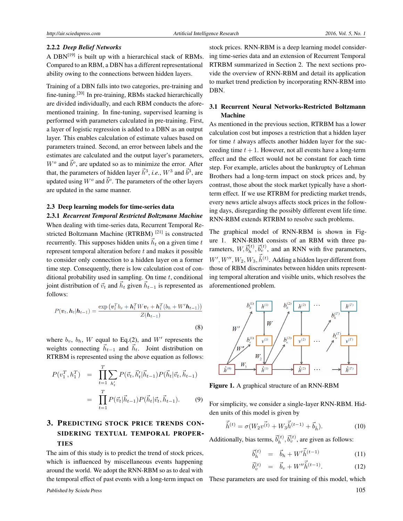#### 2.2.2 *Deep Belief Networks*

A DBN $^{[19]}$  $^{[19]}$  $^{[19]}$  is built up with a hierarchical stack of RBMs. Compared to an RBM, a DBN has a different representational ability owing to the connections between hidden layers.

Training of a DBN falls into two categories, pre-training and fine-tuning.<sup>[\[20\]](#page-7-16)</sup> In pre-training, RBMs stacked hierarchically are divided individually, and each RBM conducts the aforementioned training. In fine-tuning, supervised learning is performed with parameters calculated in pre-training. First, a layer of logistic regression is added to a DBN as an output layer. This enables calculation of estimate values based on parameters trained. Second, an error between labels and the estimates are calculated and the output layer's parameters,  $W^o$  and  $\vec{b}^o$ , are updated so as to minimize the error. After that, the parameters of hidden layer  $\vec{h}^3$ , *i.e.*,  $W^3$  and  $\vec{b}^3$ , are updated using  $W^o$  and  $\vec{b}^o$ . The parameters of the other layers are updated in the same manner.

#### 2.3 Deep learning models for time-series data

2.3.1 *Recurrent Temporal Restricted Boltzmann Machine* When dealing with time-series data, Recurrent Temporal Re-stricted Boltzmann Machine (RTRBM)<sup>[\[21\]](#page-7-17)</sup> is constructed recurrently. This supposes hidden units  $\vec{h}_t$  on a given time *t* represent temporal alteration before *t* and makes it possible to consider only connection to a hidden layer on a former time step. Consequently, there is low calculation cost of conditional probability used in sampling. On time *t*, conditional joint distribution of  $\vec{v}_t$  and  $\vec{h}_t$  given  $\vec{h}_{t-1}$  is represented as follows:

$$
P(\boldsymbol{v}_t, \boldsymbol{h}_t | \boldsymbol{h}_{t-1}) = \frac{\exp\left(\boldsymbol{v}_t^T \boldsymbol{b}_v + \boldsymbol{h}_t^T \boldsymbol{W} \boldsymbol{v}_t + \boldsymbol{h}_t^T (\boldsymbol{b}_h + \boldsymbol{W}' \boldsymbol{h}_{t-1})\right)}{Z(\boldsymbol{h}_{t-1})}
$$
\n(8)

where  $b_v$ ,  $b_h$ , *W* equal to Eq.(2), and *W'* represents the weights connecting  $\vec{h}_{t-1}$  and  $\vec{h}_t$ . Joint distribution on RTRBM is represented using the above equation as follows:

$$
P(v_1^T, h_1^T) = \prod_{t=1}^T \sum_{h'_t} P(\vec{v}_t, \vec{h}'_t | \vec{h}_{t-1}) P(\vec{h}_t | \vec{v}_t, \vec{h}_{t-1})
$$
  

$$
= \prod_{t=1}^T P(\vec{v}_t | \vec{h}_{t-1}) P(\vec{h}_t | \vec{v}_t, \vec{h}_{t-1}). \tag{9}
$$

# 3. PREDICTING STOCK PRICE TRENDS CON-SIDERING TEXTUAL TEMPORAL PROPER-TIES

The aim of this study is to predict the trend of stock prices, which is influenced by miscellaneous events happening around the world. We adopt the RNN-RBM so as to deal with the temporal effect of past events with a long-term impact on

stock prices. RNN-RBM is a deep learning model considering time-series data and an extension of Recurrent Temporal RTRBM summarized in Section [2.](#page-1-0) The next sections provide the overview of RNN-RBM and detail its application to market trend prediction by incorporating RNN-RBM into DBN.

## 3.1 Recurrent Neural Networks-Restricted Boltzmann Machine

As mentioned in the previous section, RTRBM has a lower calculation cost but imposes a restriction that a hidden layer for time *t* always affects another hidden layer for the succeeding time  $t + 1$ . However, not all events have a long-term effect and the effect would not be constant for each time step. For example, articles about the bankruptcy of Lehman Brothers had a long-term impact on stock prices and, by contrast, those about the stock market typically have a shortterm effect. If we use RTRBM for predicting market trends, every news article always affects stock prices in the following days, disregarding the possibly different event life time. RNN-RBM extends RTRBM to resolve such problems.

The graphical model of RNN-RBM is shown in Figure 1. RNN-RBM consists of an RBM with three parameters,  $W, \vec{b}_h^{(t)}$  $\bar{b}_h^{(t)}$ ,  $\bar{b}_v^{(t)}$ , and an RNN with five parameters,  $W', W'', W_2, W_3, \vec{\hat{h}}^{(t)}$ . Adding a hidden layer different from those of RBM discriminates between hidden units representing temporal alteration and visible units, which resolves the aforementioned problem.



Figure 1. A graphical structure of an RNN-RBM

For simplicity, we consider a single-layer RNN-RBM. Hidden units of this model is given by

$$
\vec{\hat{h}}^{(t)} = \sigma(W_2 v^{(t)} + W_3 \vec{\hat{h}}^{(t-1)} + \vec{b}_{\hat{h}}).
$$
\n(10)

Additionally, bias terms,  $\vec{b}_h^{(t)}$  $\vec{b}_h^{(t)}$ ,  $\vec{b}_v^{(t)}$ , are given as follows:

$$
\vec{b}_h^{(t)} = \vec{b}_h + W'\vec{h}^{(t-1)} \tag{11}
$$

$$
\vec{b}_v^{(t)} = \vec{b}_v + W'' \vec{\hat{h}}^{(t-1)}.
$$
 (12)

These parameters are used for training of this model, which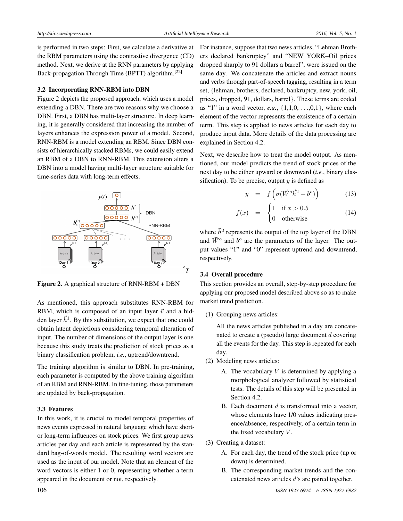is performed in two steps: First, we calculate a derivative at the RBM parameters using the contrastive divergence (CD) method. Next, we derive at the RNN parameters by applying Back-propagation Through Time (BPTT) algorithm.<sup>[\[22\]](#page-7-18)</sup>

#### 3.2 Incorporating RNN-RBM into DBN

Figure 2 depicts the proposed approach, which uses a model extending a DBN. There are two reasons why we choose a DBN. First, a DBN has multi-layer structure. In deep learning, it is generally considered that increasing the number of layers enhances the expression power of a model. Second, RNN-RBM is a model extending an RBM. Since DBN consists of hierarchically stacked RBMs, we could easily extend an RBM of a DBN to RNN-RBM. This extension alters a DBN into a model having multi-layer structure suitable for time-series data with long-term effects.



Figure 2. A graphical structure of RNN-RBM + DBN

As mentioned, this approach substitutes RNN-RBM for RBM, which is composed of an input layer  $\vec{v}$  and a hidden layer  $\vec{h}^1$ . By this substitution, we expect that one could obtain latent depictions considering temporal alteration of input. The number of dimensions of the output layer is one because this study treats the prediction of stock prices as a binary classification problem, *i.e.*, uptrend/downtrend.

The training algorithm is similar to DBN. In pre-training, each parameter is computed by the above training algorithm of an RBM and RNN-RBM. In fine-tuning, those parameters are updated by back-propagation.

## 3.3 Features

In this work, it is crucial to model temporal properties of news events expressed in natural language which have shortor long-term influences on stock prices. We first group news articles per day and each article is represented by the standard bag-of-words model. The resulting word vectors are used as the input of our model. Note that an element of the word vectors is either 1 or 0, representing whether a term appeared in the document or not, respectively.

For instance, suppose that two news articles, "Lehman Brothers declared bankruptcy" and "NEW YORK–Oil prices dropped sharply to 91 dollars a barrel", were issued on the same day. We concatenate the articles and extract nouns and verbs through part-of-speech tagging, resulting in a term set, {lehman, brothers, declared, bankruptcy, new, york, oil, prices, dropped, 91, dollars, barrel}. These terms are coded as "1" in a word vector, *e.g.*, {1,1,0, *. . .*,0,1}, where each element of the vector represents the exsistence of a certain term. This step is applied to news articles for each day to produce input data. More details of the data processing are explained in Section [4.2.](#page-4-0)

Next, we describe how to treat the model output. As mentioned, our model predicts the trend of stock prices of the next day to be either upward or downward (*i.e.*, binary classification). To be precise, output *y* is defined as

$$
y = f\left(\sigma(\vec{W}^o \vec{h}^2 + b^o)\right) \tag{13}
$$

$$
f(x) = \begin{cases} 1 & \text{if } x > 0.5 \\ 0 & \text{otherwise} \end{cases}
$$
 (14)

where  $\vec{h}^2$  represents the output of the top layer of the DBN and  $\vec{W}$ <sup>o</sup> and  $b$ <sup>o</sup> are the parameters of the layer. The output values "1" and "0" represent uptrend and downtrend, respectively.

# 3.4 Overall procedure

This section provides an overall, step-by-step procedure for applying our proposed model described above so as to make market trend prediction.

(1) Grouping news articles:

All the news articles published in a day are concatenated to create a (pseudo) large document *d* covering all the events for the day. This step is repeated for each day.

- (2) Modeling news articles:
	- A. The vocabulary *V* is determined by applying a morphological analyzer followed by statistical tests. The details of this step will be presented in Section 4.2.
	- B. Each document *d* is transformed into a vector, whose elements have 1/0 values indicating presence/absence, respectively, of a certain term in the fixed vocabulary *V* .
- (3) Creating a dataset:
	- A. For each day, the trend of the stock price (up or down) is determined.
	- B. The corresponding market trends and the concatenated news articles *d*'s are paired together.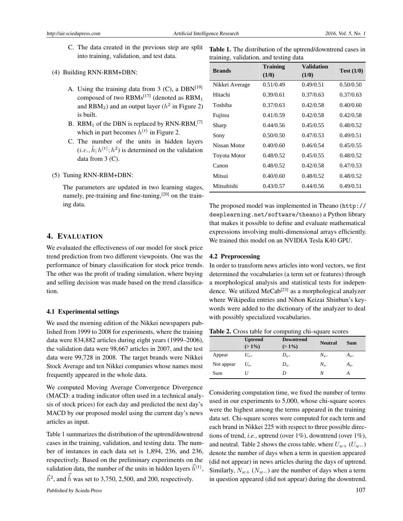- C. The data created in the previous step are split into training, validation, and test data.
- (4) Building RNN-RBM+DBN:
	- A. Using the training data from 3 (C), a  $DBN^{[19]}$  $DBN^{[19]}$  $DBN^{[19]}$ composed of two RBMs<sup>[\[17\]](#page-7-13)</sup> (denoted as  $RBM<sub>1</sub>$ and  $RBM<sub>2</sub>$ ) and an output layer ( $h<sup>2</sup>$  in Figure 2) is built.
	- B. RBM<sub>1</sub> of the DBN is replaced by RNN-RBM,<sup>[\[7\]](#page-7-6)</sup> which in part becomes  $h^{(t)}$  in Figure 2.
	- C. The number of the units in hidden layers  $(i.e., \hat{h}; h^{(t)}; h^2)$  is determined on the validation data from 3 (C).

#### (5) Tuning RNN-RBM+DBN:

The parameters are updated in two learning stages, namely, pre-training and fine-tuning, $[20]$  on the training data.

Table 1. The distribution of the uptrend/downtrend cases in training, validation, and testing data

| <b>Brands</b>       | <b>Training</b><br>(1/0) | <b>Validation</b><br>(1/0) | Test(1/0) |
|---------------------|--------------------------|----------------------------|-----------|
| Nikkei Average      | 0.51/0.49                | 0.49/0.51                  | 0.50/0.50 |
| Hitachi             | 0.39/0.61                | 0.37/0.63                  | 0.37/0.63 |
| Toshiba             | 0.37/0.63                | 0.42/0.58                  | 0.40/0.60 |
| Fujitsu             | 0.41/0.59                | 0.42/0.58                  | 0.42/0.58 |
| Sharp               | 0.44/0.56                | 0.45/0.55                  | 0.48/0.52 |
| Sony                | 0.50/0.50                | 0.47/0.53                  | 0.49/0.51 |
| Nissan Motor        | 0.40/0.60                | 0.46/0.54                  | 0.45/0.55 |
| <b>Toyota Motor</b> | 0.48/0.52                | 0.45/0.55                  | 0.48/0.52 |
| Canon               | 0.48/0.52                | 0.42/0.58                  | 0.47/0.53 |
| Mitsui              | 0.40/0.60                | 0.48/0.52                  | 0.48/0.52 |
| Mitsubishi          | 0.43/0.57                | 0.44/0.56                  | 0.49/0.51 |

# 4. EVALUATION

We evaluated the effectiveness of our model for stock price trend prediction from two different viewpoints. One was the performance of binary classification for stock price trends. The other was the profit of trading simulation, where buying and selling decision was made based on the trend classification.

#### 4.1 Experimental settings

We used the morning edition of the Nikkei newspapers published from 1999 to 2008 for experiments, where the training data were 834,882 articles during eight years (1999–2006), the validation data were 98,667 articles in 2007, and the test data were 99,728 in 2008. The target brands were Nikkei Stock Average and ten Nikkei companies whose names most frequently appeared in the whole data.

We computed Moving Average Convergence Divergence (MACD: a trading indicator often used in a technical analysis of stock prices) for each day and predicted the next day's MACD by our proposed model using the current day's news articles as input.

Table 1 summarizes the distribution of the uptrend/downtrend cases in the training, validation, and testing data. The number of instances in each data set is 1,894, 236, and 236, respectively. Based on the preliminary experiments on the validation data, the number of the units in hidden layers  $\vec{h}^{(t)}$ ,  $\vec{h}^2$ , and  $\vec{\hat{h}}$  was set to 3,750, 2,500, and 200, respectively.

The proposed model was implemented in Theano ([http://](http://deeplearning.net/software/theano) [deeplearning.net/software/theano](http://deeplearning.net/software/theano)) a Python library that makes it possible to define and evaluate mathematical expressions involving multi-dimensional arrays efficiently. We trained this model on an NVIDIA Tesla K40 GPU.

#### <span id="page-4-0"></span>4.2 Preprocessing

In order to transform news articles into word vectors, we first determined the vocabularies (a term set or features) through a morphological analysis and statistical tests for indepen-dence. We utilized MeCab<sup>[\[23\]](#page-7-19)</sup> as a morphological analyzer where Wikipedia entries and Nihon Keizai Shinbun's keywords were added to the dictionary of the analyzer to deal with possibly specialized vocabularies.

Table 2. Cross table for computing chi-square scores

|            | <b>Uptrend</b><br>$(>1\%)$ | <b>Downtrend</b><br>$(>1\%)$ | <b>Neutral</b> | Sum      |
|------------|----------------------------|------------------------------|----------------|----------|
| Appear     | $U_{w+}$                   | $D_{w+}$                     | $N_{w+}$       | $A_{w+}$ |
| Not appear | $U_{w}$                    | $D_{w}$                      | $N_{w}$        | $A_{w}$  |
| Sum        |                            | D                            | Ν              |          |

Considering computation time, we fixed the number of terms used in our experiments to 5,000, whose chi-square scores were the highest among the terms appeared in the training data set. Chi-square scores were computed for each term and each brand in Nikkei 225 with respect to three possible directions of trend, *i.e.*, uptrend (over 1%), downtrend (over 1%), and neutral. Table 2 shows the cross table, where  $U_{w+}$  ( $U_{w-}$ ) denote the number of days when a term in question appeared (did not appear) in news articles during the days of uptrend. Similarly,  $N_{w+}$  ( $N_{w-}$ ) are the number of days when a term in question appeared (did not appear) during the downtrend.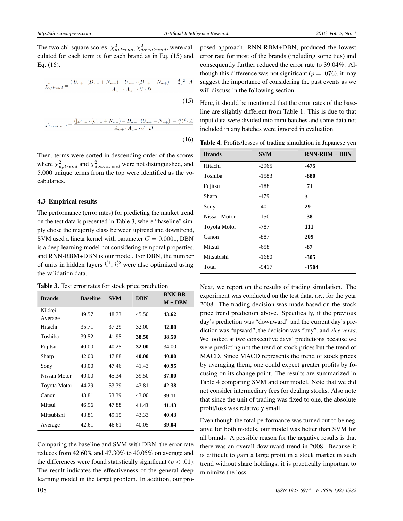(16)

<span id="page-5-0"></span>The two chi-square scores,  $\chi^2_{up trend}$ ,  $\chi^2_{down trend}$ , were calculated for each term *w* for each brand as in Eq. [\(15\)](#page-5-0) and Eq. [\(16\)](#page-5-1).

$$
\chi_{uptrend}^{2} = \frac{(|U_{w+} \cdot (D_{w-} + N_{w-}) - U_{w-} \cdot (D_{w+} + N_{w+})| - \frac{A}{2})^{2} \cdot A}{A_{w+} \cdot A_{w-} \cdot U \cdot D}
$$
\n(15)

<span id="page-5-1"></span>
$$
\chi_{downtend}^{2} = \frac{(|D_{w+} \cdot (U_{w-} + N_{w-}) - D_{w-} \cdot (U_{w+} + N_{w+})| - \frac{A}{2})^{2} \cdot A}{A_{w+} \cdot A_{w-} \cdot U \cdot D}
$$

Then, terms were sorted in descending order of the scores where  $\chi^2_{up trend}$  and  $\chi^2_{down trend}$  were not distinguished, and 5,000 unique terms from the top were identified as the vocabularies.

#### 4.3 Empirical results

The performance (error rates) for predicting the market trend on the test data is presented in Table 3, where "baseline" simply chose the majority class between uptrend and downtrend, SVM used a linear kernel with parameter  $C = 0.0001$ , DBN is a deep learning model not considering temporal properties, and RNN-RBM+DBN is our model. For DBN, the number of units in hidden layers  $\vec{h}^1$ ,  $\vec{h}^2$  were also optimized using the validation data.

Table 3. Test error rates for stock price prediction

| <b>Brands</b>       | <b>Baseline</b> | <b>SVM</b> | <b>DBN</b> | <b>RNN-RB</b><br>$M + DBN$ |
|---------------------|-----------------|------------|------------|----------------------------|
| Nikkei              | 49.57           | 48.73      | 45.50      | 43.62                      |
| Average             |                 |            |            |                            |
| Hitachi             | 35.71           | 37.29      | 32.00      | 32.00                      |
| Toshiba             | 39.52           | 41.95      | 38.50      | 38.50                      |
| Fujitsu             | 40.00           | 40.25      | 32.00      | 34.00                      |
| Sharp               | 42.00           | 47.88      | 40.00      | 40.00                      |
| Sony                | 43.00           | 47.46      | 41.43      | 40.95                      |
| Nissan Motor        | 40.00           | 45.34      | 39.50      | 37.00                      |
| <b>Toyota Motor</b> | 44.29           | 53.39      | 43.81      | 42.38                      |
| Canon               | 43.81           | 53.39      | 43.00      | 39.11                      |
| Mitsui              | 46.96           | 47.88      | 41.43      | 41.43                      |
| Mitsubishi          | 43.81           | 49.15      | 43.33      | 40.43                      |
| Average             | 42.61           | 46.61      | 40.05      | 39.04                      |

Comparing the baseline and SVM with DBN, the error rate reduces from 42.60% and 47.30% to 40.05% on average and the differences were found statistically significant  $(p < .01)$ . The result indicates the effectiveness of the general deep learning model in the target problem. In addition, our proposed approach, RNN-RBM+DBN, produced the lowest error rate for most of the brands (including some ties) and consequently further reduced the error rate to 39.04%. Although this difference was not significant ( $p = .076$ ), it may suggest the importance of considering the past events as we will discuss in the following section.

Here, it should be mentioned that the error rates of the baseline are slightly different from Table 1. This is due to that input data were divided into mini batches and some data not included in any batches were ignored in evaluation.

Table 4. Profits/losses of trading simulation in Japanese yen

| <b>Brands</b>       | <b>SVM</b> | $RNN-RBM + DBN$ |
|---------------------|------------|-----------------|
| Hitachi             | $-2965$    | -475            |
| Toshiba             | $-1583$    | $-880$          |
| Fujitsu             | $-188$     | -71             |
| Sharp               | -479       | 3               |
| Sony                | $-40$      | 29              |
| Nissan Motor        | $-150$     | -38             |
| <b>Toyota Motor</b> | -787       | 111             |
| Canon               | -887       | 209             |
| Mitsui              | $-658$     | -87             |
| Mitsubishi          | $-1680$    | $-305$          |
| Total               | $-9417$    | -1504           |

Next, we report on the results of trading simulation. The experiment was conducted on the test data, *i.e.*, for the year 2008. The trading decision was made based on the stock price trend prediction above. Specifically, if the previous day's prediction was "downward" and the current day's prediction was "upward", the decision was "buy", and *vice versa*. We looked at two consecutive days' predictions because we were predicting not the trend of stock prices but the trend of MACD. Since MACD represents the trend of stock prices by averaging them, one could expect greater profits by focusing on its change point. The results are summarized in Table 4 comparing SVM and our model. Note that we did not consider intermediary fees for dealing stocks. Also note that since the unit of trading was fixed to one, the absolute profit/loss was relatively small.

Even though the total performance was turned out to be negative for both models, our model was better than SVM for all brands. A possible reason for the negative results is that there was an overall downward trend in 2008. Because it is difficult to gain a large profit in a stock market in such trend without share holdings, it is practically important to minimize the loss.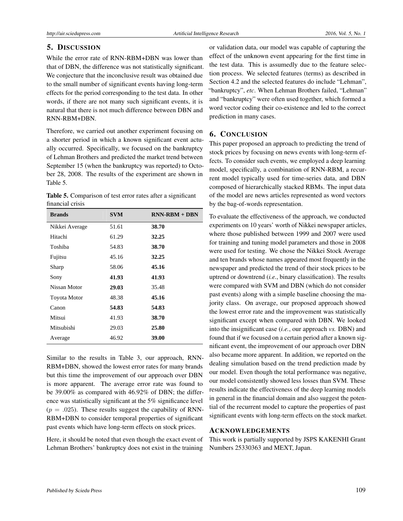# 5. DISCUSSION

While the error rate of RNN-RBM+DBN was lower than that of DBN, the difference was not statistically significant. We conjecture that the inconclusive result was obtained due to the small number of significant events having long-term effects for the period corresponding to the test data. In other words, if there are not many such significant events, it is natural that there is not much difference between DBN and RNN-RBM+DBN.

Therefore, we carried out another experiment focusing on a shorter period in which a known significant event actually occurred. Specifically, we focused on the bankruptcy of Lehman Brothers and predicted the market trend between September 15 (when the bankruptcy was reported) to October 28, 2008. The results of the experiment are shown in Table 5.

Table 5. Comparison of test error rates after a significant financial crisis

| <b>Brands</b>       | SVM   | $RNN-RBM + DBN$ |
|---------------------|-------|-----------------|
| Nikkei Average      | 51.61 | 38.70           |
| Hitachi             | 61.29 | 32.25           |
| Toshiba             | 54.83 | 38.70           |
| Fujitsu             | 45.16 | 32.25           |
| Sharp               | 58.06 | 45.16           |
| Sony                | 41.93 | 41.93           |
| Nissan Motor        | 29.03 | 35.48           |
| <b>Toyota Motor</b> | 48.38 | 45.16           |
| Canon               | 54.83 | 54.83           |
| Mitsui              | 41.93 | 38.70           |
| Mitsubishi          | 29.03 | 25.80           |
| Average             | 46.92 | 39.00           |

Similar to the results in Table 3, our approach, RNN-RBM+DBN, showed the lowest error rates for many brands but this time the improvement of our approach over DBN is more apparent. The average error rate was found to be 39.00% as compared with 46.92% of DBN; the difference was statistically significant at the 5% significance level  $(p = .025)$ . These results suggest the capability of RNN-RBM+DBN to consider temporal properties of significant past events which have long-term effects on stock prices.

Here, it should be noted that even though the exact event of Lehman Brothers' bankruptcy does not exist in the training

or validation data, our model was capable of capturing the effect of the unknown event appearing for the first time in the test data. This is assumedly due to the feature selection process. We selected features (terms) as described in Section [4.2](#page-4-0) and the selected features do include "Lehman", "bankruptcy", *etc*. When Lehman Brothers failed, "Lehman" and "bankruptcy" were often used together, which formed a word vector coding their co-existence and led to the correct prediction in many cases.

# 6. CONCLUSION

This paper proposed an approach to predicting the trend of stock prices by focusing on news events with long-term effects. To consider such events, we employed a deep learning model, specifically, a combination of RNN-RBM, a recurrent model typically used for time-series data, and DBN composed of hierarchically stacked RBMs. The input data of the model are news articles represented as word vectors by the bag-of-words representation.

To evaluate the effectiveness of the approach, we conducted experiments on 10 years' worth of Nikkei newspaper articles, where those published between 1999 and 2007 were used for training and tuning model parameters and those in 2008 were used for testing. We chose the Nikkei Stock Average and ten brands whose names appeared most frequently in the newspaper and predicted the trend of their stock prices to be uptrend or downtrend (*i.e.*, binary classification). The results were compared with SVM and DBN (which do not consider past events) along with a simple baseline choosing the majority class. On average, our proposed approach showed the lowest error rate and the improvement was statistically significant except when compared with DBN. We looked into the insignificant case (*i.e.*, our approach *vs.* DBN) and found that if we focused on a certain period after a known significant event, the improvement of our approach over DBN also became more apparent. In addition, we reported on the dealing simulation based on the trend prediction made by our model. Even though the total performance was negative, our model consistently showed less losses than SVM. These results indicate the effectiveness of the deep learning models in general in the financial domain and also suggest the potential of the recurrent model to capture the properties of past significant events with long-term effects on the stock market.

#### ACKNOWLEDGEMENTS

This work is partially supported by JSPS KAKENHI Grant Numbers 25330363 and MEXT, Japan.